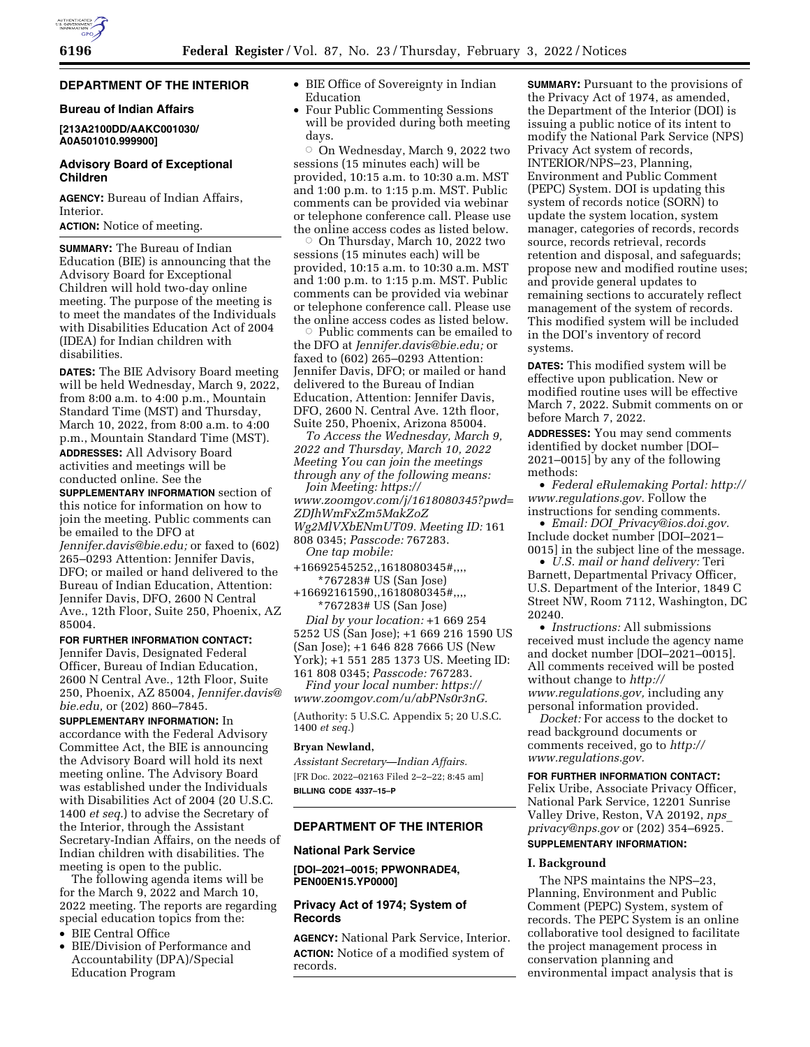# **DEPARTMENT OF THE INTERIOR**

## **Bureau of Indian Affairs**

**[213A2100DD/AAKC001030/ A0A501010.999900]** 

## **Advisory Board of Exceptional Children**

**AGENCY:** Bureau of Indian Affairs, Interior.

**ACTION:** Notice of meeting.

**SUMMARY:** The Bureau of Indian Education (BIE) is announcing that the Advisory Board for Exceptional Children will hold two-day online meeting. The purpose of the meeting is to meet the mandates of the Individuals with Disabilities Education Act of 2004 (IDEA) for Indian children with disabilities.

**DATES:** The BIE Advisory Board meeting will be held Wednesday, March 9, 2022, from 8:00 a.m. to 4:00 p.m., Mountain Standard Time (MST) and Thursday, March 10, 2022, from 8:00 a.m. to 4:00 p.m., Mountain Standard Time (MST). **ADDRESSES:** All Advisory Board activities and meetings will be conducted online. See the **SUPPLEMENTARY INFORMATION** section of this notice for information on how to join the meeting. Public comments can be emailed to the DFO at *[Jennifer.davis@bie.edu;](mailto:Jennifer.davis@bie.edu)* or faxed to (602) 265–0293 Attention: Jennifer Davis, DFO; or mailed or hand delivered to the Bureau of Indian Education, Attention: Jennifer Davis, DFO, 2600 N Central Ave., 12th Floor, Suite 250, Phoenix, AZ 85004.

**FOR FURTHER INFORMATION CONTACT:**  Jennifer Davis, Designated Federal Officer, Bureau of Indian Education, 2600 N Central Ave., 12th Floor, Suite 250, Phoenix, AZ 85004, *[Jennifer.davis@](mailto:Jennifer.davis@bie.edu)*

*[bie.edu,](mailto:Jennifer.davis@bie.edu)* or (202) 860–7845. **SUPPLEMENTARY INFORMATION:** In accordance with the Federal Advisory Committee Act, the BIE is announcing the Advisory Board will hold its next meeting online. The Advisory Board was established under the Individuals with Disabilities Act of 2004 (20 U.S.C. 1400 *et seq.*) to advise the Secretary of the Interior, through the Assistant Secretary-Indian Affairs, on the needs of Indian children with disabilities. The meeting is open to the public.

The following agenda items will be for the March 9, 2022 and March 10, 2022 meeting. The reports are regarding special education topics from the:

- BIE Central Office
- BIE/Division of Performance and Accountability (DPA)/Special Education Program
- BIE Office of Sovereignty in Indian Education
- Four Public Commenting Sessions will be provided during both meeting days.

 $\circ$  On Wednesday, March 9, 2022 two sessions (15 minutes each) will be provided, 10:15 a.m. to 10:30 a.m. MST and 1:00 p.m. to 1:15 p.m. MST. Public comments can be provided via webinar or telephone conference call. Please use the online access codes as listed below.

 $\circ$  On Thursday, March 10, 2022 two sessions (15 minutes each) will be provided, 10:15 a.m. to 10:30 a.m. MST and 1:00 p.m. to 1:15 p.m. MST. Public comments can be provided via webinar or telephone conference call. Please use the online access codes as listed below.

 $\circ$  Public comments can be emailed to the DFO at *[Jennifer.davis@bie.edu;](mailto:Jennifer.davis@bie.edu)* or faxed to (602) 265–0293 Attention: Jennifer Davis, DFO; or mailed or hand delivered to the Bureau of Indian Education, Attention: Jennifer Davis, DFO, 2600 N. Central Ave. 12th floor, Suite 250, Phoenix, Arizona 85004.

*To Access the Wednesday, March 9, 2022 and Thursday, March 10, 2022 Meeting You can join the meetings through any of the following means:* 

*Join Meeting: [https://](https://www.zoomgov.com/j/1618080345?pwd=ZDJhWmFxZm5MakZoZWg2MlVXbENmUT09) [www.zoomgov.com/j/1618080345?pwd=](https://www.zoomgov.com/j/1618080345?pwd=ZDJhWmFxZm5MakZoZWg2MlVXbENmUT09) [ZDJhWmFxZm5MakZoZ](https://www.zoomgov.com/j/1618080345?pwd=ZDJhWmFxZm5MakZoZWg2MlVXbENmUT09)*

*[Wg2MlVXbENmUT09.](https://www.zoomgov.com/j/1618080345?pwd=ZDJhWmFxZm5MakZoZWg2MlVXbENmUT09) Meeting ID:* 161 808 0345; *Passcode:* 767283.

*One tap mobile:* 

+16692545252,,1618080345#,,,, \*767283# US (San Jose)

+16692161590,,1618080345#,,,, \*767283# US (San Jose)

*Dial by your location:* +1 669 254 5252 US (San Jose); +1 669 216 1590 US (San Jose); +1 646 828 7666 US (New York); +1 551 285 1373 US. Meeting ID: 161 808 0345; *Passcode:* 767283.

*Find your local number: [https://](https://www.zoomgov.com/u/abPNs0r3nG) [www.zoomgov.com/u/abPNs0r3nG.](https://www.zoomgov.com/u/abPNs0r3nG)* 

(Authority: 5 U.S.C. Appendix 5; 20 U.S.C. 1400 *et seq.*)

## **Bryan Newland,**

*Assistant Secretary—Indian Affairs.*  [FR Doc. 2022–02163 Filed 2–2–22; 8:45 am] **BILLING CODE 4337–15–P** 

## **DEPARTMENT OF THE INTERIOR**

### **National Park Service**

**[DOI–2021–0015; PPWONRADE4, PEN00EN15.YP0000]** 

## **Privacy Act of 1974; System of Records**

**AGENCY:** National Park Service, Interior. **ACTION:** Notice of a modified system of records.

**SUMMARY:** Pursuant to the provisions of the Privacy Act of 1974, as amended, the Department of the Interior (DOI) is issuing a public notice of its intent to modify the National Park Service (NPS) Privacy Act system of records, INTERIOR/NPS–23, Planning, Environment and Public Comment (PEPC) System. DOI is updating this system of records notice (SORN) to update the system location, system manager, categories of records, records source, records retrieval, records retention and disposal, and safeguards; propose new and modified routine uses; and provide general updates to remaining sections to accurately reflect management of the system of records. This modified system will be included in the DOI's inventory of record systems.

**DATES:** This modified system will be effective upon publication. New or modified routine uses will be effective March 7, 2022. Submit comments on or before March 7, 2022.

**ADDRESSES:** You may send comments identified by docket number [DOI– 2021–0015] by any of the following methods:

• *Federal eRulemaking Portal: [http://](http://www.regulations.gov)  [www.regulations.gov.](http://www.regulations.gov)* Follow the instructions for sending comments.

• *Email: DOI*\_*[Privacy@ios.doi.gov.](mailto:DOI_Privacy@ios.doi.gov)*  Include docket number [DOI–2021– 0015] in the subject line of the message.

• *U.S. mail or hand delivery:* Teri Barnett, Departmental Privacy Officer, U.S. Department of the Interior, 1849 C Street NW, Room 7112, Washington, DC 20240.

• *Instructions:* All submissions received must include the agency name and docket number [DOI-2021-0015]. All comments received will be posted without change to *[http://](http://www.regulations.gov) [www.regulations.gov,](http://www.regulations.gov)* including any personal information provided.

*Docket:* For access to the docket to read background documents or comments received, go to *[http://](http://www.regulations.gov) [www.regulations.gov.](http://www.regulations.gov)* 

**FOR FURTHER INFORMATION CONTACT:**  Felix Uribe, Associate Privacy Officer, National Park Service, 12201 Sunrise Valley Drive, Reston, VA 20192, *[nps](mailto:nps_privacy@nps.gov)*\_ *[privacy@nps.gov](mailto:nps_privacy@nps.gov)* or (202) 354–6925. **SUPPLEMENTARY INFORMATION:** 

## **I. Background**

The NPS maintains the NPS–23, Planning, Environment and Public Comment (PEPC) System, system of records. The PEPC System is an online collaborative tool designed to facilitate the project management process in conservation planning and environmental impact analysis that is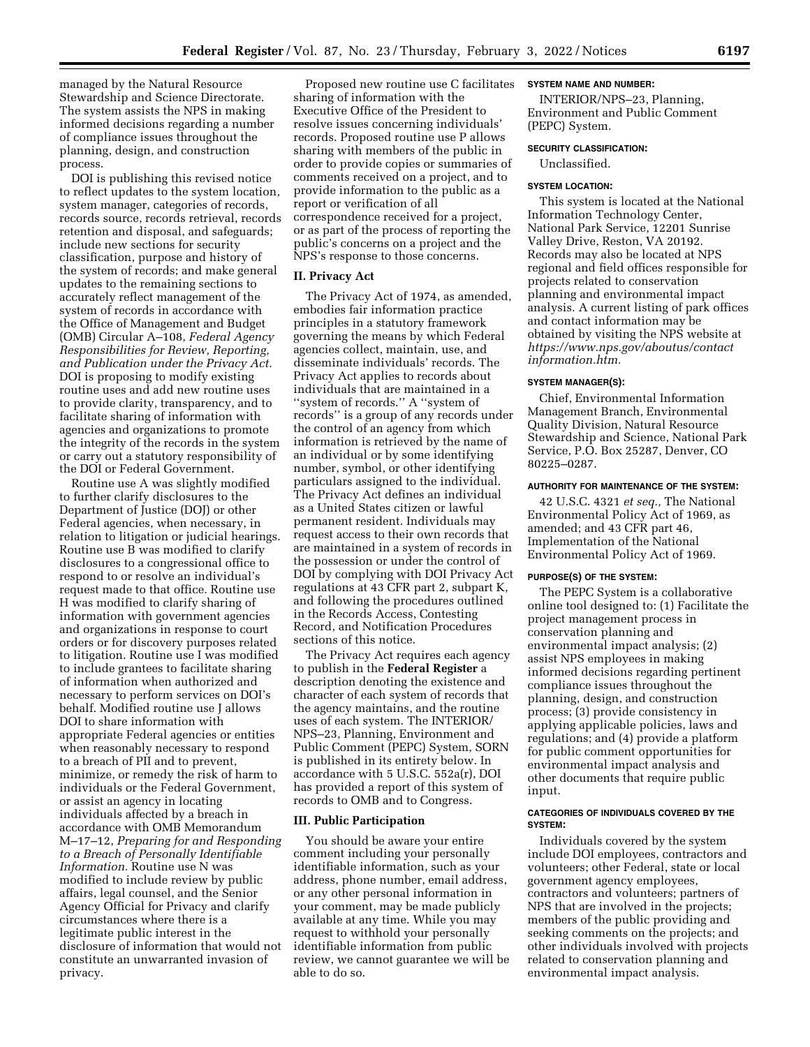managed by the Natural Resource Stewardship and Science Directorate. The system assists the NPS in making informed decisions regarding a number of compliance issues throughout the planning, design, and construction process.

DOI is publishing this revised notice to reflect updates to the system location, system manager, categories of records, records source, records retrieval, records retention and disposal, and safeguards; include new sections for security classification, purpose and history of the system of records; and make general updates to the remaining sections to accurately reflect management of the system of records in accordance with the Office of Management and Budget (OMB) Circular A–108, *Federal Agency Responsibilities for Review, Reporting, and Publication under the Privacy Act.*  DOI is proposing to modify existing routine uses and add new routine uses to provide clarity, transparency, and to facilitate sharing of information with agencies and organizations to promote the integrity of the records in the system or carry out a statutory responsibility of the DOI or Federal Government.

Routine use A was slightly modified to further clarify disclosures to the Department of Justice (DOJ) or other Federal agencies, when necessary, in relation to litigation or judicial hearings. Routine use B was modified to clarify disclosures to a congressional office to respond to or resolve an individual's request made to that office. Routine use H was modified to clarify sharing of information with government agencies and organizations in response to court orders or for discovery purposes related to litigation. Routine use I was modified to include grantees to facilitate sharing of information when authorized and necessary to perform services on DOI's behalf. Modified routine use J allows DOI to share information with appropriate Federal agencies or entities when reasonably necessary to respond to a breach of PII and to prevent, minimize, or remedy the risk of harm to individuals or the Federal Government, or assist an agency in locating individuals affected by a breach in accordance with OMB Memorandum M–17–12, *Preparing for and Responding to a Breach of Personally Identifiable Information.* Routine use N was modified to include review by public affairs, legal counsel, and the Senior Agency Official for Privacy and clarify circumstances where there is a legitimate public interest in the disclosure of information that would not constitute an unwarranted invasion of privacy.

Proposed new routine use C facilitates sharing of information with the Executive Office of the President to resolve issues concerning individuals' records. Proposed routine use P allows sharing with members of the public in order to provide copies or summaries of comments received on a project, and to provide information to the public as a report or verification of all correspondence received for a project, or as part of the process of reporting the public's concerns on a project and the NPS's response to those concerns.

## **II. Privacy Act**

The Privacy Act of 1974, as amended, embodies fair information practice principles in a statutory framework governing the means by which Federal agencies collect, maintain, use, and disseminate individuals' records. The Privacy Act applies to records about individuals that are maintained in a ''system of records.'' A ''system of records'' is a group of any records under the control of an agency from which information is retrieved by the name of an individual or by some identifying number, symbol, or other identifying particulars assigned to the individual. The Privacy Act defines an individual as a United States citizen or lawful permanent resident. Individuals may request access to their own records that are maintained in a system of records in the possession or under the control of DOI by complying with DOI Privacy Act regulations at 43 CFR part 2, subpart K, and following the procedures outlined in the Records Access, Contesting Record, and Notification Procedures sections of this notice.

The Privacy Act requires each agency to publish in the **Federal Register** a description denoting the existence and character of each system of records that the agency maintains, and the routine uses of each system. The INTERIOR/ NPS–23, Planning, Environment and Public Comment (PEPC) System, SORN is published in its entirety below. In accordance with 5 U.S.C. 552a(r), DOI has provided a report of this system of records to OMB and to Congress.

### **III. Public Participation**

You should be aware your entire comment including your personally identifiable information, such as your address, phone number, email address, or any other personal information in your comment, may be made publicly available at any time. While you may request to withhold your personally identifiable information from public review, we cannot guarantee we will be able to do so.

## **SYSTEM NAME AND NUMBER:**

INTERIOR/NPS–23, Planning, Environment and Public Comment (PEPC) System.

#### **SECURITY CLASSIFICATION:**

Unclassified.

#### **SYSTEM LOCATION:**

This system is located at the National Information Technology Center, National Park Service, 12201 Sunrise Valley Drive, Reston, VA 20192. Records may also be located at NPS regional and field offices responsible for projects related to conservation planning and environmental impact analysis. A current listing of park offices and contact information may be obtained by visiting the NPS website at *[https://www.nps.gov/aboutus/contact](https://www.nps.gov/aboutus/contactinformation.htm) [information.htm.](https://www.nps.gov/aboutus/contactinformation.htm)* 

## **SYSTEM MANAGER(S):**

Chief, Environmental Information Management Branch, Environmental Quality Division, Natural Resource Stewardship and Science, National Park Service, P.O. Box 25287, Denver, CO 80225–0287.

#### **AUTHORITY FOR MAINTENANCE OF THE SYSTEM:**

42 U.S.C. 4321 *et seq.,* The National Environmental Policy Act of 1969, as amended; and 43 CFR part 46, Implementation of the National Environmental Policy Act of 1969.

#### **PURPOSE(S) OF THE SYSTEM:**

The PEPC System is a collaborative online tool designed to: (1) Facilitate the project management process in conservation planning and environmental impact analysis; (2) assist NPS employees in making informed decisions regarding pertinent compliance issues throughout the planning, design, and construction process; (3) provide consistency in applying applicable policies, laws and regulations; and (4) provide a platform for public comment opportunities for environmental impact analysis and other documents that require public input.

#### **CATEGORIES OF INDIVIDUALS COVERED BY THE SYSTEM:**

Individuals covered by the system include DOI employees, contractors and volunteers; other Federal, state or local government agency employees, contractors and volunteers; partners of NPS that are involved in the projects; members of the public providing and seeking comments on the projects; and other individuals involved with projects related to conservation planning and environmental impact analysis.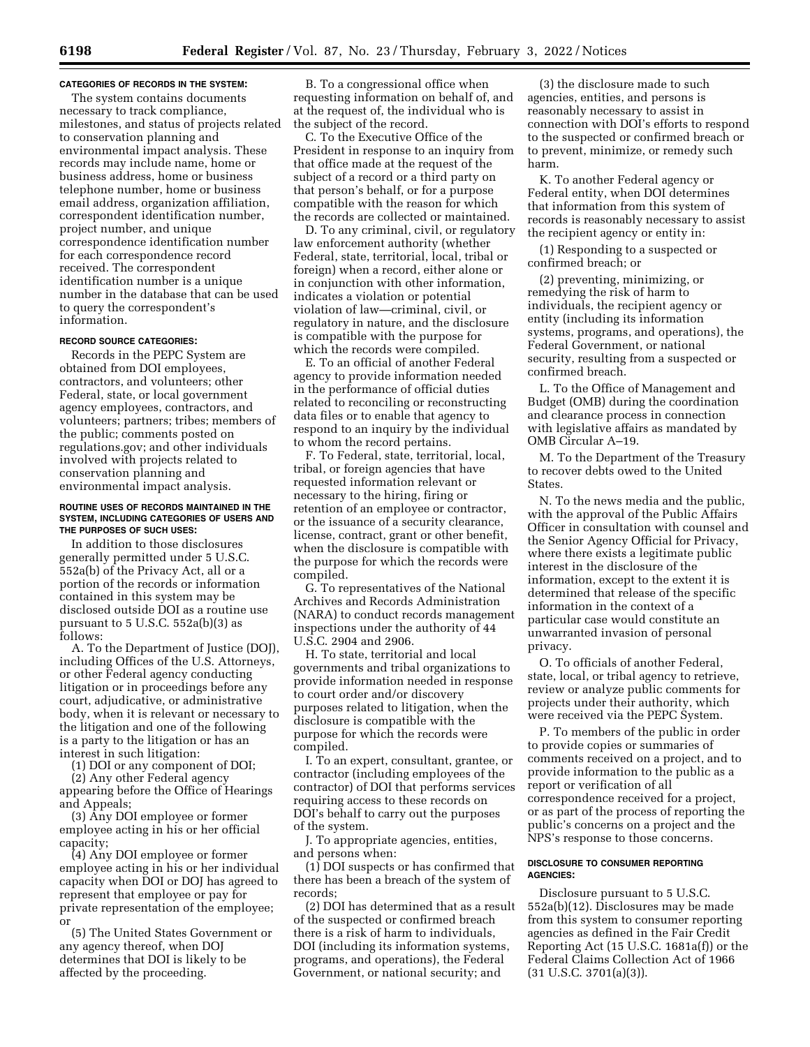#### **CATEGORIES OF RECORDS IN THE SYSTEM:**

The system contains documents necessary to track compliance, milestones, and status of projects related to conservation planning and environmental impact analysis. These records may include name, home or business address, home or business telephone number, home or business email address, organization affiliation, correspondent identification number, project number, and unique correspondence identification number for each correspondence record received. The correspondent identification number is a unique number in the database that can be used to query the correspondent's information.

## **RECORD SOURCE CATEGORIES:**

Records in the PEPC System are obtained from DOI employees, contractors, and volunteers; other Federal, state, or local government agency employees, contractors, and volunteers; partners; tribes; members of the public; comments posted on regulations.gov; and other individuals involved with projects related to conservation planning and environmental impact analysis.

#### **ROUTINE USES OF RECORDS MAINTAINED IN THE SYSTEM, INCLUDING CATEGORIES OF USERS AND THE PURPOSES OF SUCH USES:**

In addition to those disclosures generally permitted under 5 U.S.C. 552a(b) of the Privacy Act, all or a portion of the records or information contained in this system may be disclosed outside DOI as a routine use pursuant to  $5$  U.S.C.  $552a(b)(3)$  as follows:

A. To the Department of Justice (DOJ), including Offices of the U.S. Attorneys, or other Federal agency conducting litigation or in proceedings before any court, adjudicative, or administrative body, when it is relevant or necessary to the litigation and one of the following is a party to the litigation or has an interest in such litigation:

(1) DOI or any component of DOI;

(2) Any other Federal agency appearing before the Office of Hearings and Appeals;

(3) Any DOI employee or former employee acting in his or her official capacity;

(4) Any DOI employee or former employee acting in his or her individual capacity when DOI or DOJ has agreed to represent that employee or pay for private representation of the employee; or

(5) The United States Government or any agency thereof, when DOJ determines that DOI is likely to be affected by the proceeding.

B. To a congressional office when requesting information on behalf of, and at the request of, the individual who is the subject of the record.

C. To the Executive Office of the President in response to an inquiry from that office made at the request of the subject of a record or a third party on that person's behalf, or for a purpose compatible with the reason for which the records are collected or maintained.

D. To any criminal, civil, or regulatory law enforcement authority (whether Federal, state, territorial, local, tribal or foreign) when a record, either alone or in conjunction with other information, indicates a violation or potential violation of law—criminal, civil, or regulatory in nature, and the disclosure is compatible with the purpose for which the records were compiled.

E. To an official of another Federal agency to provide information needed in the performance of official duties related to reconciling or reconstructing data files or to enable that agency to respond to an inquiry by the individual to whom the record pertains.

F. To Federal, state, territorial, local, tribal, or foreign agencies that have requested information relevant or necessary to the hiring, firing or retention of an employee or contractor, or the issuance of a security clearance, license, contract, grant or other benefit, when the disclosure is compatible with the purpose for which the records were compiled.

G. To representatives of the National Archives and Records Administration (NARA) to conduct records management inspections under the authority of 44 U.S.C. 2904 and 2906.

H. To state, territorial and local governments and tribal organizations to provide information needed in response to court order and/or discovery purposes related to litigation, when the disclosure is compatible with the purpose for which the records were compiled.

I. To an expert, consultant, grantee, or contractor (including employees of the contractor) of DOI that performs services requiring access to these records on DOI's behalf to carry out the purposes of the system.

J. To appropriate agencies, entities, and persons when:

(1) DOI suspects or has confirmed that there has been a breach of the system of records;

(2) DOI has determined that as a result of the suspected or confirmed breach there is a risk of harm to individuals, DOI (including its information systems, programs, and operations), the Federal Government, or national security; and

(3) the disclosure made to such agencies, entities, and persons is reasonably necessary to assist in connection with DOI's efforts to respond to the suspected or confirmed breach or to prevent, minimize, or remedy such harm.

K. To another Federal agency or Federal entity, when DOI determines that information from this system of records is reasonably necessary to assist the recipient agency or entity in:

(1) Responding to a suspected or confirmed breach; or

(2) preventing, minimizing, or remedying the risk of harm to individuals, the recipient agency or entity (including its information systems, programs, and operations), the Federal Government, or national security, resulting from a suspected or confirmed breach.

L. To the Office of Management and Budget (OMB) during the coordination and clearance process in connection with legislative affairs as mandated by OMB Circular A–19.

M. To the Department of the Treasury to recover debts owed to the United States.

N. To the news media and the public, with the approval of the Public Affairs Officer in consultation with counsel and the Senior Agency Official for Privacy, where there exists a legitimate public interest in the disclosure of the information, except to the extent it is determined that release of the specific information in the context of a particular case would constitute an unwarranted invasion of personal privacy.

O. To officials of another Federal, state, local, or tribal agency to retrieve, review or analyze public comments for projects under their authority, which were received via the PEPC System.

P. To members of the public in order to provide copies or summaries of comments received on a project, and to provide information to the public as a report or verification of all correspondence received for a project, or as part of the process of reporting the public's concerns on a project and the NPS's response to those concerns.

## **DISCLOSURE TO CONSUMER REPORTING AGENCIES:**

Disclosure pursuant to 5 U.S.C. 552a(b)(12). Disclosures may be made from this system to consumer reporting agencies as defined in the Fair Credit Reporting Act (15 U.S.C. 1681a(f)) or the Federal Claims Collection Act of 1966 (31 U.S.C. 3701(a)(3)).